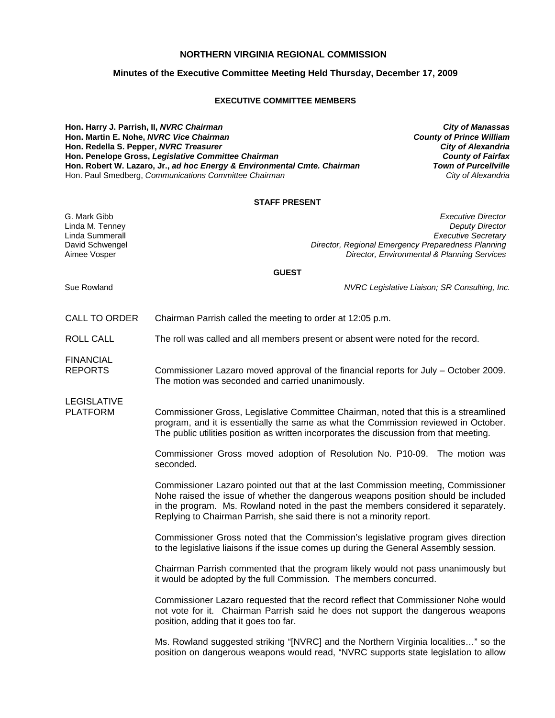### **NORTHERN VIRGINIA REGIONAL COMMISSION**

### **Minutes of the Executive Committee Meeting Held Thursday, December 17, 2009**

#### **EXECUTIVE COMMITTEE MEMBERS**

**Hon. Harry J. Parrish, II,** *NVRC Chairman City of Manassas* **Hon. Martin E. Nohe,** *NVRC Vice Chairman County of Prince William* **Hon. Redella S. Pepper,** *NVRC Treasurer City of Alexandria* **Hon. Penelope Gross,** *Legislative Committee Chairman County of Fairfax* **Hon. Robert W. Lazaro, Jr.,** *ad hoc Energy & Environmental Cmte. Chairman Town of Purcellville* Hon. Paul Smedberg, *Communications Committee Chairman City of Alexandria*

### **STAFF PRESENT**

G. Mark Gibb *Executive Director* Linda M. Tenney *Deputy Director* Linda Summerall *Executive Secretary* **Director, Regional Emergency Preparedness Planning** Aimee Vosper *Director, Environmental & Planning Services*

#### **GUEST**

Sue Rowland *NVRC Legislative Liaison; SR Consulting, Inc.*

| CALL TO ORDER | Chairman Parrish called the meeting to order at 12:05 p.m. |
|---------------|------------------------------------------------------------|
|---------------|------------------------------------------------------------|

ROLL CALL The roll was called and all members present or absent were noted for the record.

FINANCIAL<br>REPORTS Commissioner Lazaro moved approval of the financial reports for July – October 2009. The motion was seconded and carried unanimously.

LEGISLATIVE

PLATFORM Commissioner Gross, Legislative Committee Chairman, noted that this is a streamlined program, and it is essentially the same as what the Commission reviewed in October. The public utilities position as written incorporates the discussion from that meeting.

> Commissioner Gross moved adoption of Resolution No. P10-09. The motion was seconded.

> Commissioner Lazaro pointed out that at the last Commission meeting, Commissioner Nohe raised the issue of whether the dangerous weapons position should be included in the program. Ms. Rowland noted in the past the members considered it separately. Replying to Chairman Parrish, she said there is not a minority report.

> Commissioner Gross noted that the Commission's legislative program gives direction to the legislative liaisons if the issue comes up during the General Assembly session.

> Chairman Parrish commented that the program likely would not pass unanimously but it would be adopted by the full Commission. The members concurred.

> Commissioner Lazaro requested that the record reflect that Commissioner Nohe would not vote for it. Chairman Parrish said he does not support the dangerous weapons position, adding that it goes too far.

> Ms. Rowland suggested striking "[NVRC] and the Northern Virginia localities…" so the position on dangerous weapons would read, "NVRC supports state legislation to allow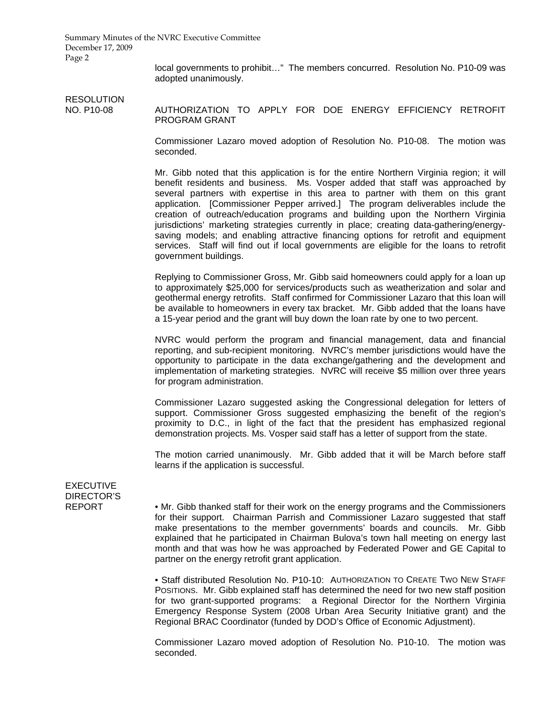Summary Minutes of the NVRC Executive Committee December 17, 2009 Page 2

> local governments to prohibit…" The members concurred. Resolution No. P10-09 was adopted unanimously.

**RESOLUTION** 

NO. P10-08 AUTHORIZATION TO APPLY FOR DOE ENERGY EFFICIENCY RETROFIT PROGRAM GRANT

> Commissioner Lazaro moved adoption of Resolution No. P10-08. The motion was seconded.

> Mr. Gibb noted that this application is for the entire Northern Virginia region; it will benefit residents and business. Ms. Vosper added that staff was approached by several partners with expertise in this area to partner with them on this grant application. [Commissioner Pepper arrived.] The program deliverables include the creation of outreach/education programs and building upon the Northern Virginia jurisdictions' marketing strategies currently in place; creating data-gathering/energysaving models; and enabling attractive financing options for retrofit and equipment services. Staff will find out if local governments are eligible for the loans to retrofit government buildings.

> Replying to Commissioner Gross, Mr. Gibb said homeowners could apply for a loan up to approximately \$25,000 for services/products such as weatherization and solar and geothermal energy retrofits. Staff confirmed for Commissioner Lazaro that this loan will be available to homeowners in every tax bracket. Mr. Gibb added that the loans have a 15-year period and the grant will buy down the loan rate by one to two percent.

> NVRC would perform the program and financial management, data and financial reporting, and sub-recipient monitoring. NVRC's member jurisdictions would have the opportunity to participate in the data exchange/gathering and the development and implementation of marketing strategies. NVRC will receive \$5 million over three years for program administration.

> Commissioner Lazaro suggested asking the Congressional delegation for letters of support. Commissioner Gross suggested emphasizing the benefit of the region's proximity to D.C., in light of the fact that the president has emphasized regional demonstration projects. Ms. Vosper said staff has a letter of support from the state.

> The motion carried unanimously. Mr. Gibb added that it will be March before staff learns if the application is successful.

## EXECUTIVE DIRECTOR'S

REPORT • Mr. Gibb thanked staff for their work on the energy programs and the Commissioners for their support. Chairman Parrish and Commissioner Lazaro suggested that staff make presentations to the member governments' boards and councils. Mr. Gibb explained that he participated in Chairman Bulova's town hall meeting on energy last month and that was how he was approached by Federated Power and GE Capital to partner on the energy retrofit grant application.

> • Staff distributed Resolution No. P10-10: AUTHORIZATION TO CREATE TWO NEW STAFF POSITIONS. Mr. Gibb explained staff has determined the need for two new staff position for two grant-supported programs: a Regional Director for the Northern Virginia Emergency Response System (2008 Urban Area Security Initiative grant) and the Regional BRAC Coordinator (funded by DOD's Office of Economic Adjustment).

> Commissioner Lazaro moved adoption of Resolution No. P10-10. The motion was seconded.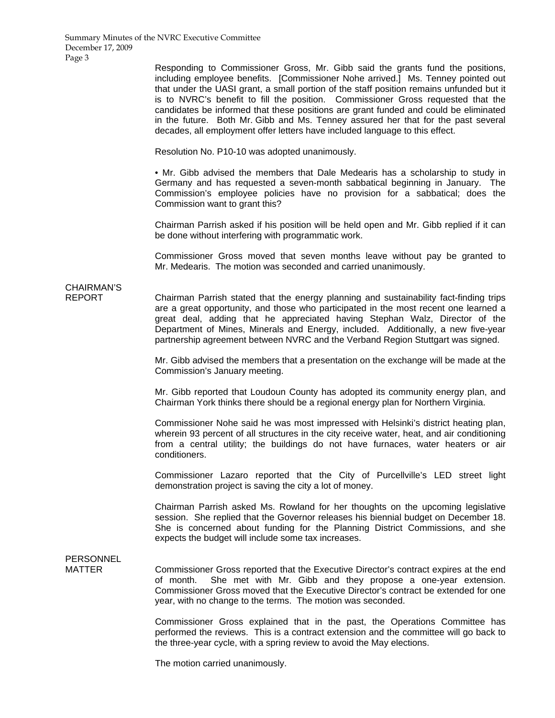Summary Minutes of the NVRC Executive Committee December 17, 2009 Page 3

> Responding to Commissioner Gross, Mr. Gibb said the grants fund the positions, including employee benefits. [Commissioner Nohe arrived.] Ms. Tenney pointed out that under the UASI grant, a small portion of the staff position remains unfunded but it is to NVRC's benefit to fill the position. Commissioner Gross requested that the candidates be informed that these positions are grant funded and could be eliminated in the future. Both Mr. Gibb and Ms. Tenney assured her that for the past several decades, all employment offer letters have included language to this effect.

Resolution No. P10-10 was adopted unanimously.

 • Mr. Gibb advised the members that Dale Medearis has a scholarship to study in Germany and has requested a seven-month sabbatical beginning in January. The Commission's employee policies have no provision for a sabbatical; does the Commission want to grant this?

 Chairman Parrish asked if his position will be held open and Mr. Gibb replied if it can be done without interfering with programmatic work.

 Commissioner Gross moved that seven months leave without pay be granted to Mr. Medearis. The motion was seconded and carried unanimously.

CHAIRMAN'S

REPORT Chairman Parrish stated that the energy planning and sustainability fact-finding trips are a great opportunity, and those who participated in the most recent one learned a great deal, adding that he appreciated having Stephan Walz, Director of the Department of Mines, Minerals and Energy, included. Additionally, a new five-year partnership agreement between NVRC and the Verband Region Stuttgart was signed.

> Mr. Gibb advised the members that a presentation on the exchange will be made at the Commission's January meeting.

> Mr. Gibb reported that Loudoun County has adopted its community energy plan, and Chairman York thinks there should be a regional energy plan for Northern Virginia.

> Commissioner Nohe said he was most impressed with Helsinki's district heating plan, wherein 93 percent of all structures in the city receive water, heat, and air conditioning from a central utility; the buildings do not have furnaces, water heaters or air conditioners.

> Commissioner Lazaro reported that the City of Purcellville's LED street light demonstration project is saving the city a lot of money.

> Chairman Parrish asked Ms. Rowland for her thoughts on the upcoming legislative session. She replied that the Governor releases his biennial budget on December 18. She is concerned about funding for the Planning District Commissions, and she expects the budget will include some tax increases.

# **PERSONNEL**

MATTER Commissioner Gross reported that the Executive Director's contract expires at the end of month. She met with Mr. Gibb and they propose a one-year extension. Commissioner Gross moved that the Executive Director's contract be extended for one year, with no change to the terms. The motion was seconded.

> Commissioner Gross explained that in the past, the Operations Committee has performed the reviews. This is a contract extension and the committee will go back to the three-year cycle, with a spring review to avoid the May elections.

The motion carried unanimously.